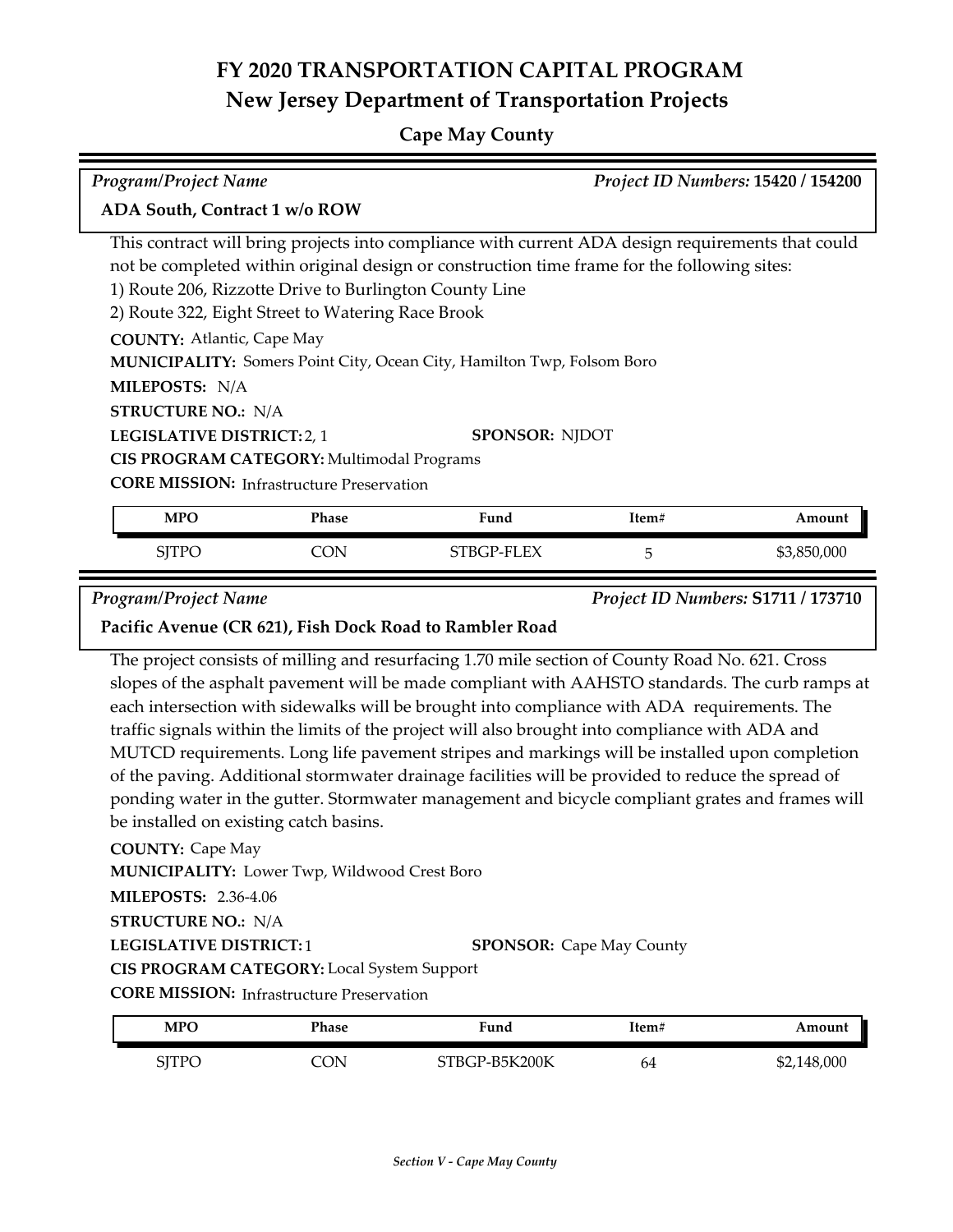## **FY 2020 TRANSPORTATION CAPITAL PROGRAM New Jersey Department of Transportation Projects**

### **Cape May County**

| <b>Program/Project Name</b>                                                                       |            |            | Project ID Numbers: 15420 / 154200 |             |  |  |
|---------------------------------------------------------------------------------------------------|------------|------------|------------------------------------|-------------|--|--|
| ADA South, Contract 1 w/o ROW                                                                     |            |            |                                    |             |  |  |
| This contract will bring projects into compliance with current ADA design requirements that could |            |            |                                    |             |  |  |
| not be completed within original design or construction time frame for the following sites:       |            |            |                                    |             |  |  |
| 1) Route 206, Rizzotte Drive to Burlington County Line                                            |            |            |                                    |             |  |  |
| 2) Route 322, Eight Street to Watering Race Brook                                                 |            |            |                                    |             |  |  |
| <b>COUNTY: Atlantic, Cape May</b>                                                                 |            |            |                                    |             |  |  |
| <b>MUNICIPALITY:</b> Somers Point City, Ocean City, Hamilton Twp, Folsom Boro                     |            |            |                                    |             |  |  |
| MILEPOSTS: N/A                                                                                    |            |            |                                    |             |  |  |
| <b>STRUCTURE NO.: N/A</b>                                                                         |            |            |                                    |             |  |  |
| LEGISLATIVE DISTRICT: 2, 1<br><b>SPONSOR: NJDOT</b>                                               |            |            |                                    |             |  |  |
| <b>CIS PROGRAM CATEGORY: Multimodal Programs</b>                                                  |            |            |                                    |             |  |  |
| <b>CORE MISSION:</b> Infrastructure Preservation                                                  |            |            |                                    |             |  |  |
|                                                                                                   |            |            |                                    |             |  |  |
| <b>MPO</b>                                                                                        | Phase      | Fund       | Item#                              | Amount      |  |  |
| <b>SJTPO</b>                                                                                      | <b>CON</b> | STBGP-FLEX | 5                                  | \$3,850,000 |  |  |

*Program/Project Name Project ID Numbers:* **S1711 / 173710**

#### **Pacific Avenue (CR 621), Fish Dock Road to Rambler Road**

The project consists of milling and resurfacing 1.70 mile section of County Road No. 621. Cross slopes of the asphalt pavement will be made compliant with AAHSTO standards. The curb ramps at each intersection with sidewalks will be brought into compliance with ADA requirements. The traffic signals within the limits of the project will also brought into compliance with ADA and MUTCD requirements. Long life pavement stripes and markings will be installed upon completion of the paving. Additional stormwater drainage facilities will be provided to reduce the spread of ponding water in the gutter. Stormwater management and bicycle compliant grates and frames will be installed on existing catch basins.

**COUNTY:** Cape May

**MUNICIPALITY:** Lower Twp, Wildwood Crest Boro

**MILEPOSTS:** 2.36-4.06

**STRUCTURE NO.:** N/A

**LEGISLATIVE DISTRICT:** 1 **SPONSOR:** Cape May County

**CIS PROGRAM CATEGORY:** Local System Support

**CORE MISSION: Infrastructure Preservation** 

| <b>MPO</b> | Phase | Fund          | ltem# | Amount      |
|------------|-------|---------------|-------|-------------|
| CTTDC<br>ັ | CON   | STBGP-B5K200K | 64    | \$2,148,000 |